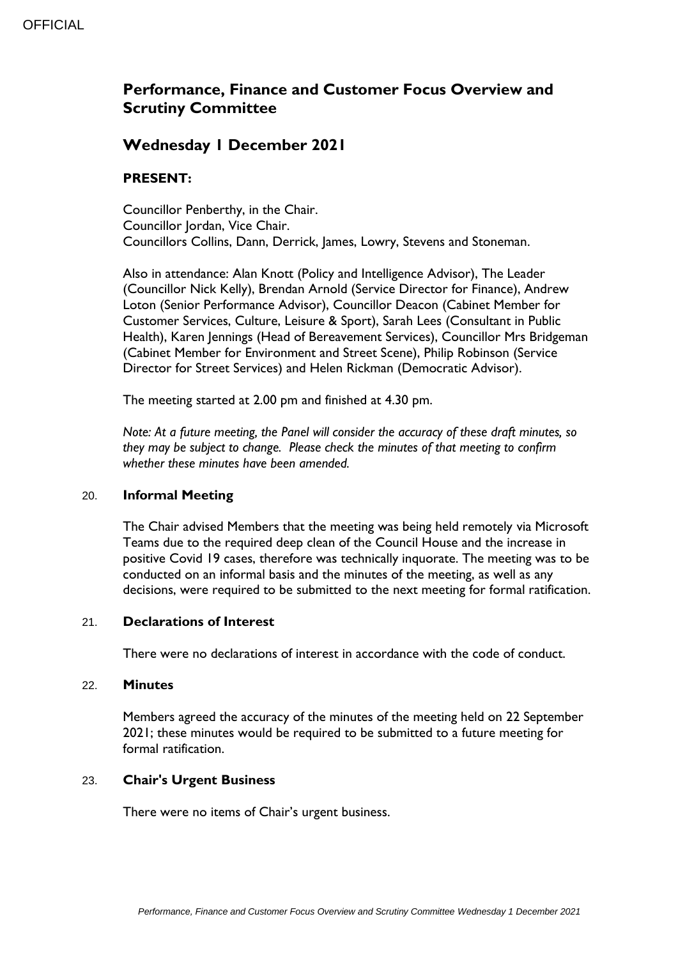# **Performance, Finance and Customer Focus Overview and Scrutiny Committee**

## **Wednesday 1 December 2021**

### **PRESENT:**

Councillor Penberthy, in the Chair. Councillor Jordan, Vice Chair. Councillors Collins, Dann, Derrick, James, Lowry, Stevens and Stoneman.

Also in attendance: Alan Knott (Policy and Intelligence Advisor), The Leader (Councillor Nick Kelly), Brendan Arnold (Service Director for Finance), Andrew Loton (Senior Performance Advisor), Councillor Deacon (Cabinet Member for Customer Services, Culture, Leisure & Sport), Sarah Lees (Consultant in Public Health), Karen Jennings (Head of Bereavement Services), Councillor Mrs Bridgeman (Cabinet Member for Environment and Street Scene), Philip Robinson (Service Director for Street Services) and Helen Rickman (Democratic Advisor).

The meeting started at 2.00 pm and finished at 4.30 pm.

*Note: At a future meeting, the Panel will consider the accuracy of these draft minutes, so they may be subject to change. Please check the minutes of that meeting to confirm whether these minutes have been amended.*

### 20. **Informal Meeting**

The Chair advised Members that the meeting was being held remotely via Microsoft Teams due to the required deep clean of the Council House and the increase in positive Covid 19 cases, therefore was technically inquorate. The meeting was to be conducted on an informal basis and the minutes of the meeting, as well as any decisions, were required to be submitted to the next meeting for formal ratification.

### 21. **Declarations of Interest**

There were no declarations of interest in accordance with the code of conduct.

### 22. **Minutes**

Members agreed the accuracy of the minutes of the meeting held on 22 September 2021; these minutes would be required to be submitted to a future meeting for formal ratification.

### 23. **Chair's Urgent Business**

There were no items of Chair's urgent business.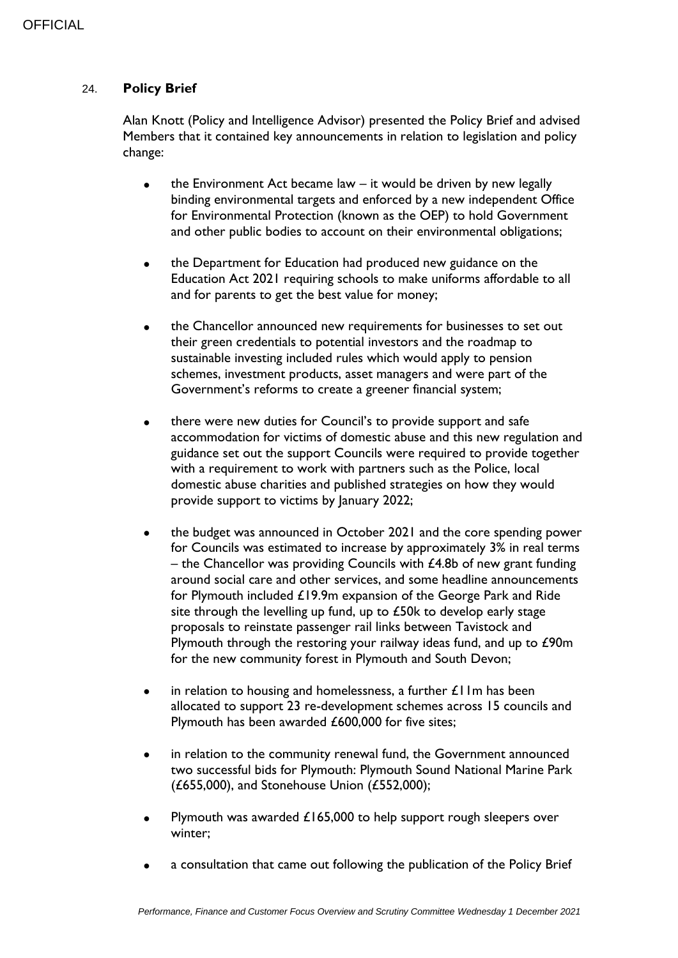### 24. **Policy Brief**

Alan Knott (Policy and Intelligence Advisor) presented the Policy Brief and advised Members that it contained key announcements in relation to legislation and policy change:

- $\bullet$  the Environment Act became law it would be driven by new legally binding environmental targets and enforced by a new independent Office for Environmental Protection (known as the OEP) to hold Government and other public bodies to account on their environmental obligations;
- the Department for Education had produced new guidance on the Education Act 2021 requiring schools to make uniforms affordable to all and for parents to get the best value for money;
- the Chancellor announced new requirements for businesses to set out their green credentials to potential investors and the roadmap to sustainable investing included rules which would apply to pension schemes, investment products, asset managers and were part of the Government's reforms to create a greener financial system;
- there were new duties for Council's to provide support and safe accommodation for victims of domestic abuse and this new regulation and guidance set out the support Councils were required to provide together with a requirement to work with partners such as the Police, local domestic abuse charities and published strategies on how they would provide support to victims by January 2022;
- the budget was announced in October 2021 and the core spending power for Councils was estimated to increase by approximately 3% in real terms – the Chancellor was providing Councils with  $£4.8b$  of new grant funding around social care and other services, and some headline announcements for Plymouth included £19.9m expansion of the George Park and Ride site through the levelling up fund, up to £50k to develop early stage proposals to reinstate passenger rail links between Tavistock and Plymouth through the restoring your railway ideas fund, and up to £90m for the new community forest in Plymouth and South Devon;
- $\bullet$  in relation to housing and homelessness, a further  $\pounds$ IIm has been allocated to support 23 re-development schemes across 15 councils and Plymouth has been awarded £600,000 for five sites;
- in relation to the community renewal fund, the Government announced two successful bids for Plymouth: Plymouth Sound National Marine Park (£655,000), and Stonehouse Union (£552,000);
- Plymouth was awarded £165,000 to help support rough sleepers over winter;
- a consultation that came out following the publication of the Policy Brief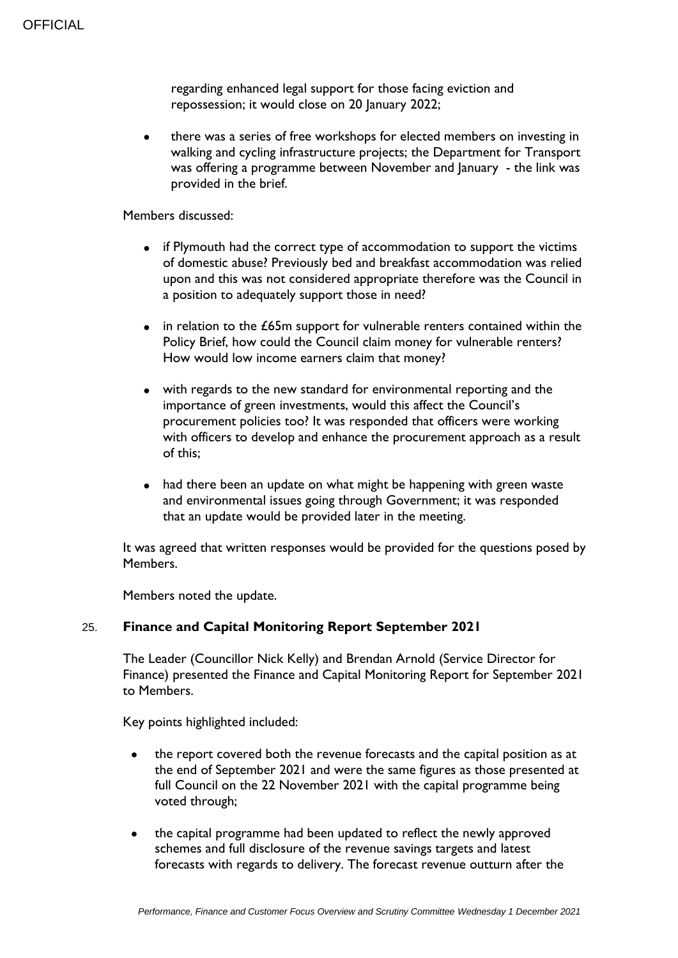regarding enhanced legal support for those facing eviction and repossession; it would close on 20 January 2022;

 there was a series of free workshops for elected members on investing in walking and cycling infrastructure projects; the Department for Transport was offering a programme between November and January - the link was provided in the brief.

### Members discussed:

- if Plymouth had the correct type of accommodation to support the victims of domestic abuse? Previously bed and breakfast accommodation was relied upon and this was not considered appropriate therefore was the Council in a position to adequately support those in need?
- in relation to the £65m support for vulnerable renters contained within the Policy Brief, how could the Council claim money for vulnerable renters? How would low income earners claim that money?
- with regards to the new standard for environmental reporting and the importance of green investments, would this affect the Council's procurement policies too? It was responded that officers were working with officers to develop and enhance the procurement approach as a result of this;
- had there been an update on what might be happening with green waste and environmental issues going through Government; it was responded that an update would be provided later in the meeting.

It was agreed that written responses would be provided for the questions posed by Members.

Members noted the update.

### 25. **Finance and Capital Monitoring Report September 2021**

The Leader (Councillor Nick Kelly) and Brendan Arnold (Service Director for Finance) presented the Finance and Capital Monitoring Report for September 2021 to Members.

Key points highlighted included:

- the report covered both the revenue forecasts and the capital position as at the end of September 2021 and were the same figures as those presented at full Council on the 22 November 2021 with the capital programme being voted through;
- the capital programme had been updated to reflect the newly approved schemes and full disclosure of the revenue savings targets and latest forecasts with regards to delivery. The forecast revenue outturn after the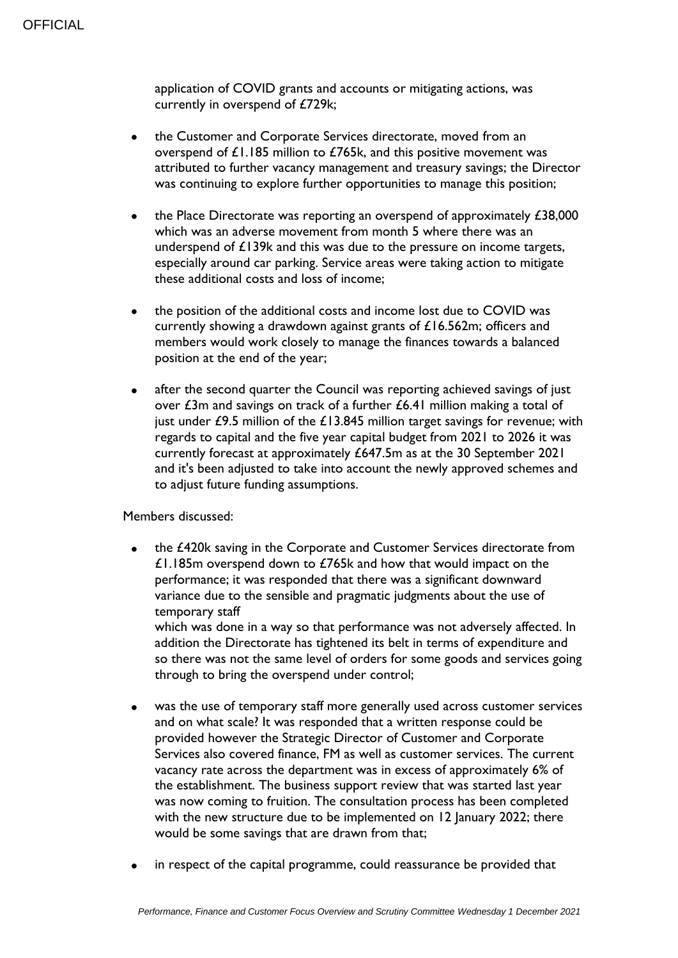application of COVID grants and accounts or mitigating actions, was currently in overspend of £729k;

- the Customer and Corporate Services directorate, moved from an overspend of £1.185 million to £765k, and this positive movement was attributed to further vacancy management and treasury savings; the Director was continuing to explore further opportunities to manage this position;
- the Place Directorate was reporting an overspend of approximately £38,000 which was an adverse movement from month 5 where there was an underspend of £139k and this was due to the pressure on income targets, especially around car parking. Service areas were taking action to mitigate these additional costs and loss of income;
- the position of the additional costs and income lost due to COVID was currently showing a drawdown against grants of £16.562m; officers and members would work closely to manage the finances towards a balanced position at the end of the year;
- after the second quarter the Council was reporting achieved savings of just over £3m and savings on track of a further £6.41 million making a total of just under  $£9.5$  million of the  $£13.845$  million target savings for revenue; with regards to capital and the five year capital budget from 2021 to 2026 it was currently forecast at approximately £647.5m as at the 30 September 2021 and it's been adjusted to take into account the newly approved schemes and to adjust future funding assumptions.

Members discussed:

 the £420k saving in the Corporate and Customer Services directorate from £1.185m overspend down to £765k and how that would impact on the performance; it was responded that there was a significant downward variance due to the sensible and pragmatic judgments about the use of temporary staff

which was done in a way so that performance was not adversely affected. In addition the Directorate has tightened its belt in terms of expenditure and so there was not the same level of orders for some goods and services going through to bring the overspend under control;

- was the use of temporary staff more generally used across customer services and on what scale? It was responded that a written response could be provided however the Strategic Director of Customer and Corporate Services also covered finance, FM as well as customer services. The current vacancy rate across the department was in excess of approximately 6% of the establishment. The business support review that was started last year was now coming to fruition. The consultation process has been completed with the new structure due to be implemented on 12 January 2022; there would be some savings that are drawn from that;
- in respect of the capital programme, could reassurance be provided that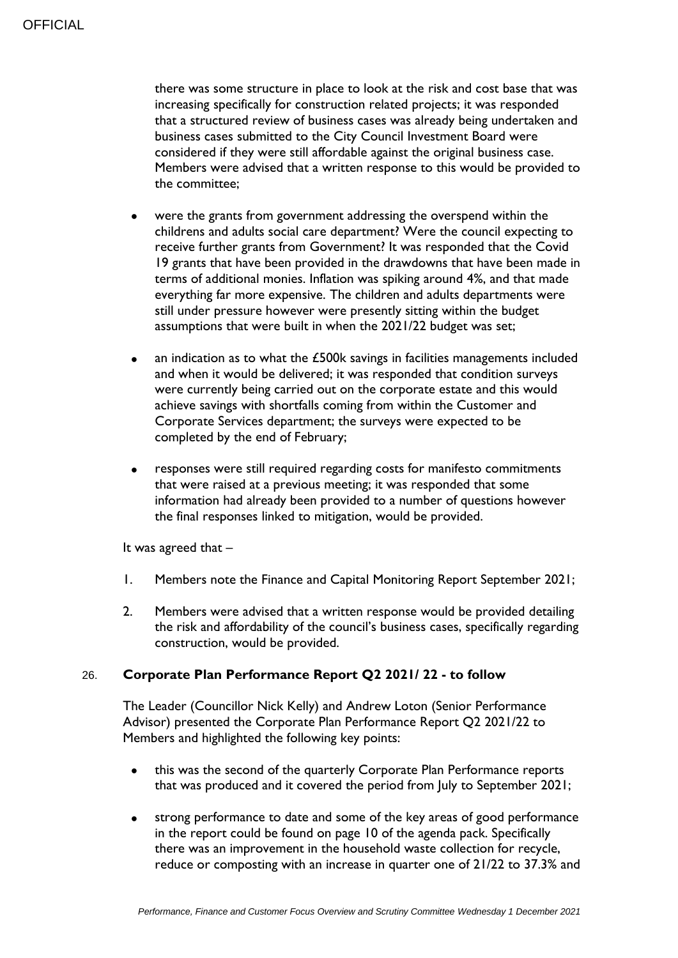there was some structure in place to look at the risk and cost base that was increasing specifically for construction related projects; it was responded that a structured review of business cases was already being undertaken and business cases submitted to the City Council Investment Board were considered if they were still affordable against the original business case. Members were advised that a written response to this would be provided to the committee;

- were the grants from government addressing the overspend within the childrens and adults social care department? Were the council expecting to receive further grants from Government? It was responded that the Covid 19 grants that have been provided in the drawdowns that have been made in terms of additional monies. Inflation was spiking around 4%, and that made everything far more expensive. The children and adults departments were still under pressure however were presently sitting within the budget assumptions that were built in when the 2021/22 budget was set;
- an indication as to what the £500k savings in facilities managements included and when it would be delivered; it was responded that condition surveys were currently being carried out on the corporate estate and this would achieve savings with shortfalls coming from within the Customer and Corporate Services department; the surveys were expected to be completed by the end of February;
- responses were still required regarding costs for manifesto commitments that were raised at a previous meeting; it was responded that some information had already been provided to a number of questions however the final responses linked to mitigation, would be provided.

It was agreed that –

- 1. Members note the Finance and Capital Monitoring Report September 2021;
- 2. Members were advised that a written response would be provided detailing the risk and affordability of the council's business cases, specifically regarding construction, would be provided.

### 26. **Corporate Plan Performance Report Q2 2021/ 22 - to follow**

The Leader (Councillor Nick Kelly) and Andrew Loton (Senior Performance Advisor) presented the Corporate Plan Performance Report Q2 2021/22 to Members and highlighted the following key points:

- this was the second of the quarterly Corporate Plan Performance reports that was produced and it covered the period from July to September 2021;
- strong performance to date and some of the key areas of good performance in the report could be found on page 10 of the agenda pack. Specifically there was an improvement in the household waste collection for recycle, reduce or composting with an increase in quarter one of 21/22 to 37.3% and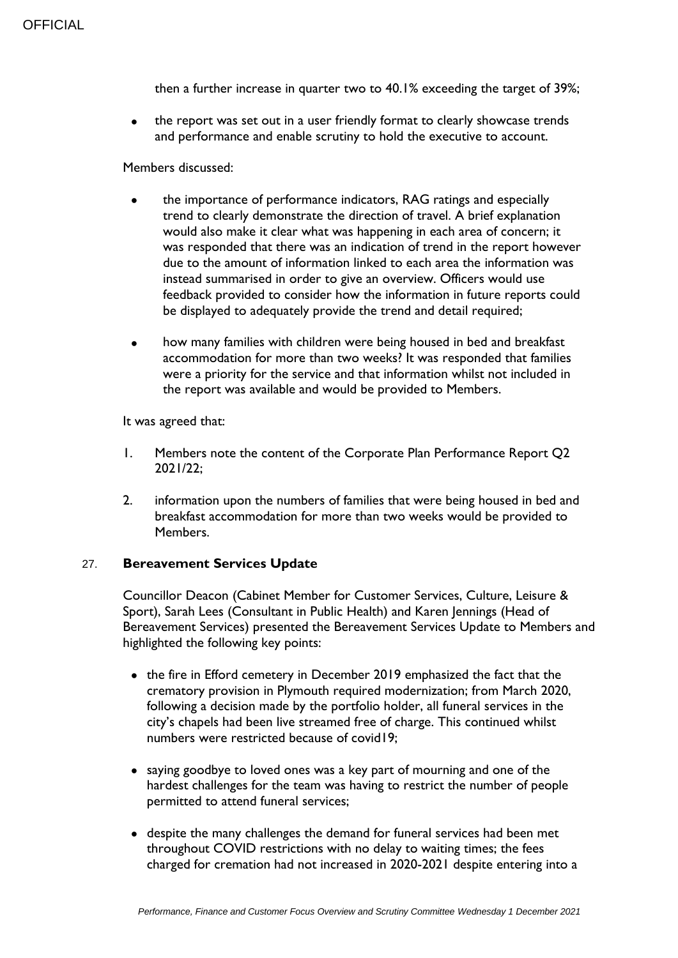then a further increase in quarter two to 40.1% exceeding the target of 39%;

 the report was set out in a user friendly format to clearly showcase trends and performance and enable scrutiny to hold the executive to account.

#### Members discussed:

- the importance of performance indicators, RAG ratings and especially trend to clearly demonstrate the direction of travel. A brief explanation would also make it clear what was happening in each area of concern; it was responded that there was an indication of trend in the report however due to the amount of information linked to each area the information was instead summarised in order to give an overview. Officers would use feedback provided to consider how the information in future reports could be displayed to adequately provide the trend and detail required;
- how many families with children were being housed in bed and breakfast accommodation for more than two weeks? It was responded that families were a priority for the service and that information whilst not included in the report was available and would be provided to Members.

It was agreed that:

- 1. Members note the content of the Corporate Plan Performance Report Q2 2021/22;
- 2. information upon the numbers of families that were being housed in bed and breakfast accommodation for more than two weeks would be provided to Members.

### 27. **Bereavement Services Update**

Councillor Deacon (Cabinet Member for Customer Services, Culture, Leisure & Sport), Sarah Lees (Consultant in Public Health) and Karen Jennings (Head of Bereavement Services) presented the Bereavement Services Update to Members and highlighted the following key points:

- the fire in Efford cemetery in December 2019 emphasized the fact that the crematory provision in Plymouth required modernization; from March 2020, following a decision made by the portfolio holder, all funeral services in the city's chapels had been live streamed free of charge. This continued whilst numbers were restricted because of covid19;
- saying goodbye to loved ones was a key part of mourning and one of the hardest challenges for the team was having to restrict the number of people permitted to attend funeral services;
- despite the many challenges the demand for funeral services had been met throughout COVID restrictions with no delay to waiting times; the fees charged for cremation had not increased in 2020-2021 despite entering into a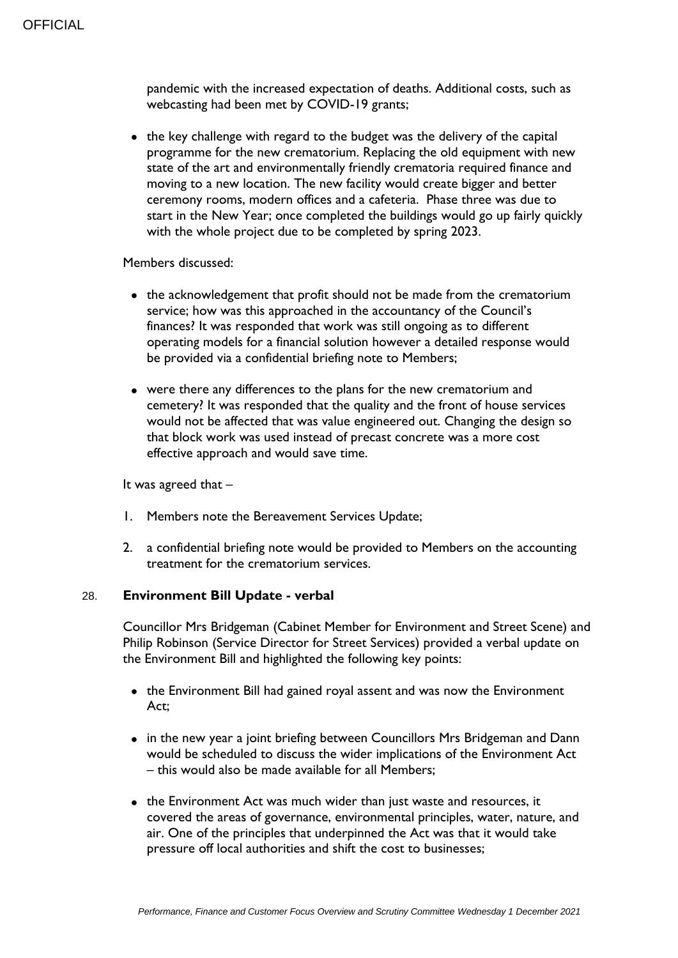pandemic with the increased expectation of deaths. Additional costs, such as webcasting had been met by COVID-19 grants;

• the key challenge with regard to the budget was the delivery of the capital programme for the new crematorium. Replacing the old equipment with new state of the art and environmentally friendly crematoria required finance and moving to a new location. The new facility would create bigger and better ceremony rooms, modern offices and a cafeteria. Phase three was due to start in the New Year; once completed the buildings would go up fairly quickly with the whole project due to be completed by spring 2023.

### Members discussed:

- the acknowledgement that profit should not be made from the crematorium service; how was this approached in the accountancy of the Council's finances? It was responded that work was still ongoing as to different operating models for a financial solution however a detailed response would be provided via a confidential briefing note to Members;
- were there any differences to the plans for the new crematorium and cemetery? It was responded that the quality and the front of house services would not be affected that was value engineered out. Changing the design so that block work was used instead of precast concrete was a more cost effective approach and would save time.

It was agreed that –

- 1. Members note the Bereavement Services Update;
- 2. a confidential briefing note would be provided to Members on the accounting treatment for the crematorium services.

### 28. **Environment Bill Update - verbal**

Councillor Mrs Bridgeman (Cabinet Member for Environment and Street Scene) and Philip Robinson (Service Director for Street Services) provided a verbal update on the Environment Bill and highlighted the following key points:

- the Environment Bill had gained royal assent and was now the Environment Act;
- in the new year a joint briefing between Councillors Mrs Bridgeman and Dann would be scheduled to discuss the wider implications of the Environment Act – this would also be made available for all Members;
- the Environment Act was much wider than just waste and resources, it covered the areas of governance, environmental principles, water, nature, and air. One of the principles that underpinned the Act was that it would take pressure off local authorities and shift the cost to businesses;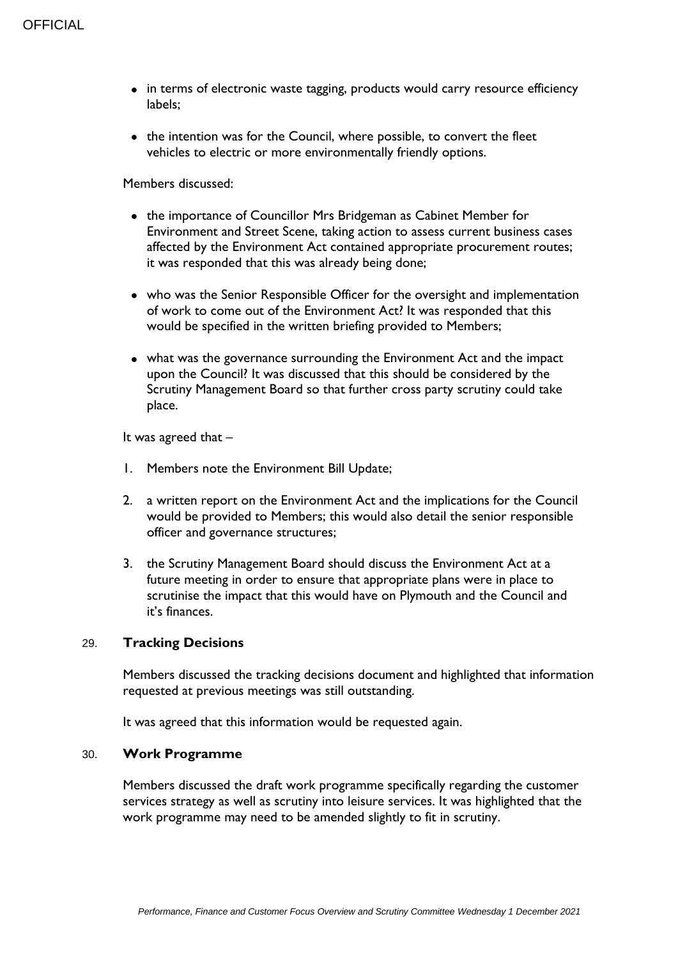- in terms of electronic waste tagging, products would carry resource efficiency labels;
- the intention was for the Council, where possible, to convert the fleet vehicles to electric or more environmentally friendly options.

Members discussed:

- the importance of Councillor Mrs Bridgeman as Cabinet Member for Environment and Street Scene, taking action to assess current business cases affected by the Environment Act contained appropriate procurement routes; it was responded that this was already being done;
- who was the Senior Responsible Officer for the oversight and implementation of work to come out of the Environment Act? It was responded that this would be specified in the written briefing provided to Members;
- what was the governance surrounding the Environment Act and the impact upon the Council? It was discussed that this should be considered by the Scrutiny Management Board so that further cross party scrutiny could take place.

It was agreed that –

- 1. Members note the Environment Bill Update;
- 2. a written report on the Environment Act and the implications for the Council would be provided to Members; this would also detail the senior responsible officer and governance structures;
- 3. the Scrutiny Management Board should discuss the Environment Act at a future meeting in order to ensure that appropriate plans were in place to scrutinise the impact that this would have on Plymouth and the Council and it's finances.

### 29. **Tracking Decisions**

Members discussed the tracking decisions document and highlighted that information requested at previous meetings was still outstanding.

It was agreed that this information would be requested again.

#### 30. **Work Programme**

Members discussed the draft work programme specifically regarding the customer services strategy as well as scrutiny into leisure services. It was highlighted that the work programme may need to be amended slightly to fit in scrutiny.